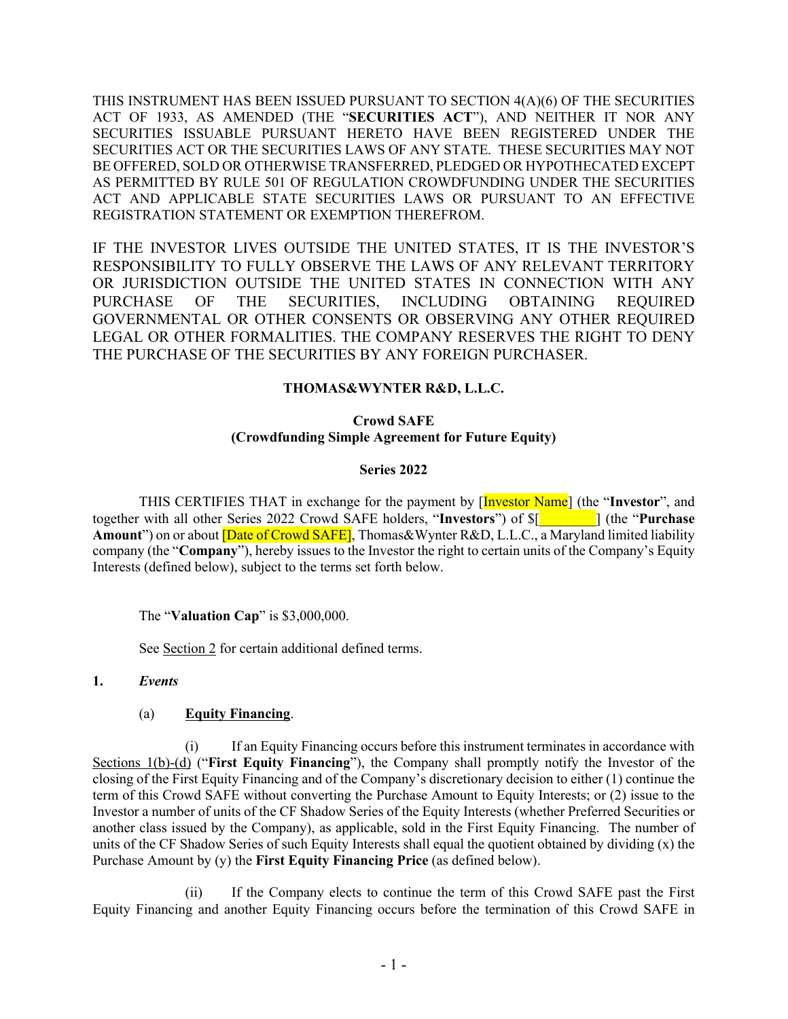THIS INSTRUMENT HAS BEEN ISSUED PURSUANT TO SECTION 4(A)(6) OF THE SECURITIES ACT OF 1933, AS AMENDED (THE "**SECURITIES ACT**"), AND NEITHER IT NOR ANY SECURITIES ISSUABLE PURSUANT HERETO HAVE BEEN REGISTERED UNDER THE SECURITIES ACT OR THE SECURITIES LAWS OF ANY STATE. THESE SECURITIES MAY NOT BE OFFERED, SOLD OR OTHERWISE TRANSFERRED, PLEDGED OR HYPOTHECATED EXCEPT AS PERMITTED BY RULE 501 OF REGULATION CROWDFUNDING UNDER THE SECURITIES ACT AND APPLICABLE STATE SECURITIES LAWS OR PURSUANT TO AN EFFECTIVE REGISTRATION STATEMENT OR EXEMPTION THEREFROM.

IF THE INVESTOR LIVES OUTSIDE THE UNITED STATES, IT IS THE INVESTOR'S RESPONSIBILITY TO FULLY OBSERVE THE LAWS OF ANY RELEVANT TERRITORY OR JURISDICTION OUTSIDE THE UNITED STATES IN CONNECTION WITH ANY PURCHASE OF THE SECURITIES, INCLUDING OBTAINING REQUIRED GOVERNMENTAL OR OTHER CONSENTS OR OBSERVING ANY OTHER REQUIRED LEGAL OR OTHER FORMALITIES. THE COMPANY RESERVES THE RIGHT TO DENY THE PURCHASE OF THE SECURITIES BY ANY FOREIGN PURCHASER.

# **THOMAS&WYNTER R&D, L.L.C.**

# **Crowd SAFE (Crowdfunding Simple Agreement for Future Equity)**

#### **Series 2022**

THIS CERTIFIES THAT in exchange for the payment by [Investor Name] (the "**Investor**", and together with all other Series 2022 Crowd SAFE holders, "**Investors**") of \$[*\_\_\_\_\_\_\_\_*] (the "**Purchase Amount**") on or about [Date of Crowd SAFE], Thomas&Wynter R&D, L.L.C., a Maryland limited liability company (the "**Company**"), hereby issues to the Investor the right to certain units of the Company's Equity Interests (defined below), subject to the terms set forth below.

The "**Valuation Cap**" is \$3,000,000.

See Section 2 for certain additional defined terms.

#### **1.** *Events*

#### (a) **Equity Financing**.

(i) If an Equity Financing occurs before this instrument terminates in accordance with Sections 1(b)-(d) ("**First Equity Financing**"), the Company shall promptly notify the Investor of the closing of the First Equity Financing and of the Company's discretionary decision to either (1) continue the term of this Crowd SAFE without converting the Purchase Amount to Equity Interests; or (2) issue to the Investor a number of units of the CF Shadow Series of the Equity Interests (whether Preferred Securities or another class issued by the Company), as applicable, sold in the First Equity Financing. The number of units of the CF Shadow Series of such Equity Interests shall equal the quotient obtained by dividing (x) the Purchase Amount by (y) the **First Equity Financing Price** (as defined below).

(ii) If the Company elects to continue the term of this Crowd SAFE past the First Equity Financing and another Equity Financing occurs before the termination of this Crowd SAFE in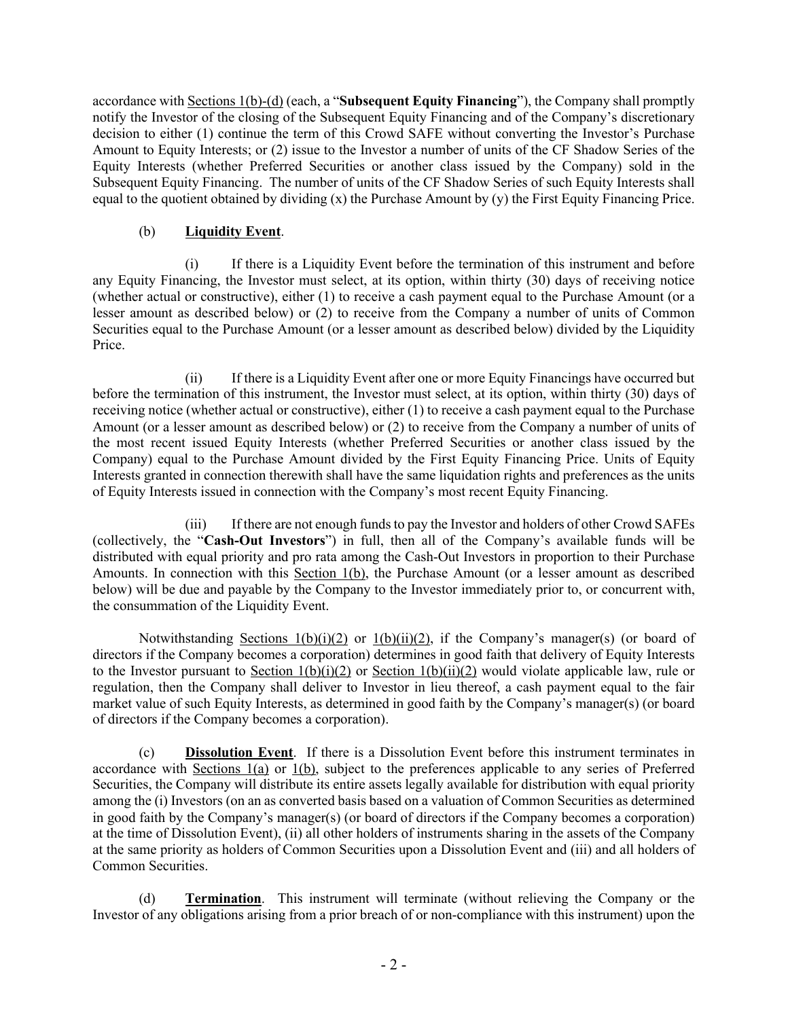accordance with Sections 1(b)-(d) (each, a "**Subsequent Equity Financing**"), the Company shall promptly notify the Investor of the closing of the Subsequent Equity Financing and of the Company's discretionary decision to either (1) continue the term of this Crowd SAFE without converting the Investor's Purchase Amount to Equity Interests; or (2) issue to the Investor a number of units of the CF Shadow Series of the Equity Interests (whether Preferred Securities or another class issued by the Company) sold in the Subsequent Equity Financing. The number of units of the CF Shadow Series of such Equity Interests shall equal to the quotient obtained by dividing  $(x)$  the Purchase Amount by  $(y)$  the First Equity Financing Price.

# (b) **Liquidity Event**.

(i) If there is a Liquidity Event before the termination of this instrument and before any Equity Financing, the Investor must select, at its option, within thirty (30) days of receiving notice (whether actual or constructive), either (1) to receive a cash payment equal to the Purchase Amount (or a lesser amount as described below) or (2) to receive from the Company a number of units of Common Securities equal to the Purchase Amount (or a lesser amount as described below) divided by the Liquidity Price.

(ii) If there is a Liquidity Event after one or more Equity Financings have occurred but before the termination of this instrument, the Investor must select, at its option, within thirty (30) days of receiving notice (whether actual or constructive), either (1) to receive a cash payment equal to the Purchase Amount (or a lesser amount as described below) or (2) to receive from the Company a number of units of the most recent issued Equity Interests (whether Preferred Securities or another class issued by the Company) equal to the Purchase Amount divided by the First Equity Financing Price. Units of Equity Interests granted in connection therewith shall have the same liquidation rights and preferences as the units of Equity Interests issued in connection with the Company's most recent Equity Financing.

(iii) If there are not enough funds to pay the Investor and holders of other Crowd SAFEs (collectively, the "**Cash-Out Investors**") in full, then all of the Company's available funds will be distributed with equal priority and pro rata among the Cash-Out Investors in proportion to their Purchase Amounts. In connection with this Section 1(b), the Purchase Amount (or a lesser amount as described below) will be due and payable by the Company to the Investor immediately prior to, or concurrent with, the consummation of the Liquidity Event.

Notwithstanding Sections  $1(b)(i)(2)$  or  $1(b)(ii)(2)$ , if the Company's manager(s) (or board of directors if the Company becomes a corporation) determines in good faith that delivery of Equity Interests to the Investor pursuant to Section  $1(b)(i)(2)$  or Section  $1(b)(ii)(2)$  would violate applicable law, rule or regulation, then the Company shall deliver to Investor in lieu thereof, a cash payment equal to the fair market value of such Equity Interests, as determined in good faith by the Company's manager(s) (or board of directors if the Company becomes a corporation).

(c) **Dissolution Event**. If there is a Dissolution Event before this instrument terminates in accordance with Sections 1(a) or 1(b), subject to the preferences applicable to any series of Preferred Securities, the Company will distribute its entire assets legally available for distribution with equal priority among the (i) Investors (on an as converted basis based on a valuation of Common Securities as determined in good faith by the Company's manager(s) (or board of directors if the Company becomes a corporation) at the time of Dissolution Event), (ii) all other holders of instruments sharing in the assets of the Company at the same priority as holders of Common Securities upon a Dissolution Event and (iii) and all holders of Common Securities.

(d) **Termination**. This instrument will terminate (without relieving the Company or the Investor of any obligations arising from a prior breach of or non-compliance with this instrument) upon the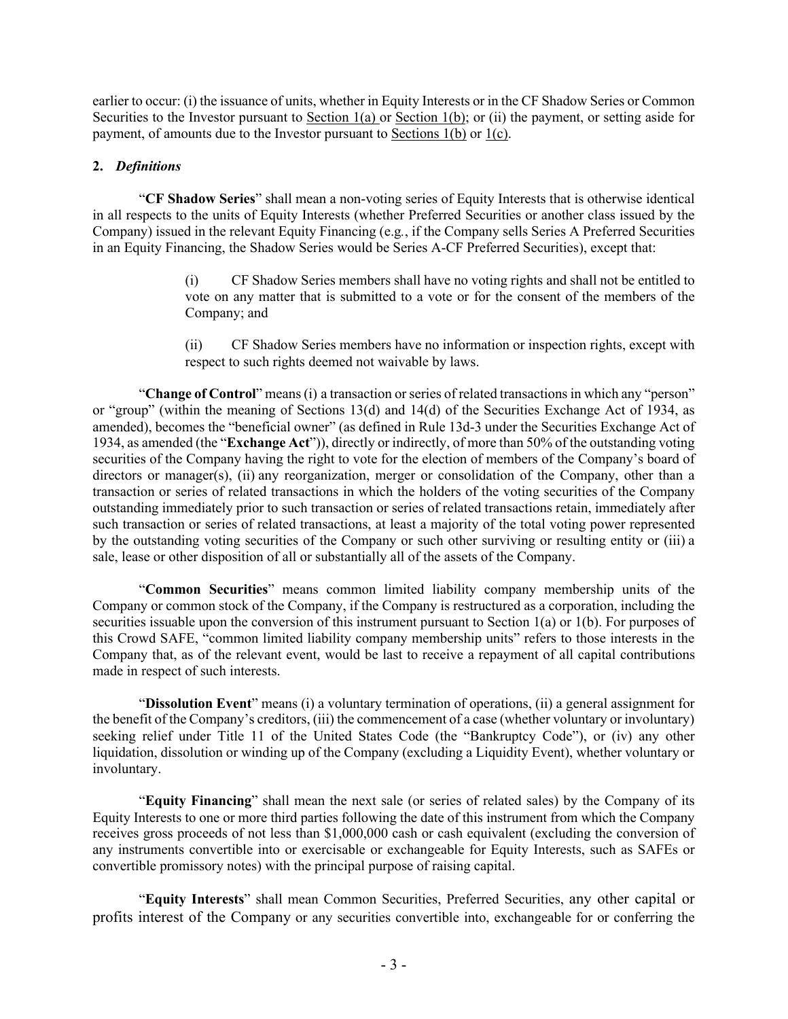earlier to occur: (i) the issuance of units, whether in Equity Interests or in the CF Shadow Series or Common Securities to the Investor pursuant to Section 1(a) or Section 1(b); or (ii) the payment, or setting aside for payment, of amounts due to the Investor pursuant to Sections 1(b) or 1(c).

# **2.** *Definitions*

"**CF Shadow Series**" shall mean a non-voting series of Equity Interests that is otherwise identical in all respects to the units of Equity Interests (whether Preferred Securities or another class issued by the Company) issued in the relevant Equity Financing (e.g*.*, if the Company sells Series A Preferred Securities in an Equity Financing, the Shadow Series would be Series A-CF Preferred Securities), except that:

> (i) CF Shadow Series members shall have no voting rights and shall not be entitled to vote on any matter that is submitted to a vote or for the consent of the members of the Company; and

> (ii) CF Shadow Series members have no information or inspection rights, except with respect to such rights deemed not waivable by laws.

"**Change of Control**" means (i) a transaction or series of related transactions in which any "person" or "group" (within the meaning of Sections 13(d) and 14(d) of the Securities Exchange Act of 1934, as amended), becomes the "beneficial owner" (as defined in Rule 13d-3 under the Securities Exchange Act of 1934, as amended (the "**Exchange Act**")), directly or indirectly, of more than 50% of the outstanding voting securities of the Company having the right to vote for the election of members of the Company's board of directors or manager(s), (ii) any reorganization, merger or consolidation of the Company, other than a transaction or series of related transactions in which the holders of the voting securities of the Company outstanding immediately prior to such transaction or series of related transactions retain, immediately after such transaction or series of related transactions, at least a majority of the total voting power represented by the outstanding voting securities of the Company or such other surviving or resulting entity or (iii) a sale, lease or other disposition of all or substantially all of the assets of the Company.

"**Common Securities**" means common limited liability company membership units of the Company or common stock of the Company, if the Company is restructured as a corporation, including the securities issuable upon the conversion of this instrument pursuant to Section 1(a) or 1(b). For purposes of this Crowd SAFE, "common limited liability company membership units" refers to those interests in the Company that, as of the relevant event, would be last to receive a repayment of all capital contributions made in respect of such interests.

"**Dissolution Event**" means (i) a voluntary termination of operations, (ii) a general assignment for the benefit of the Company's creditors, (iii) the commencement of a case (whether voluntary or involuntary) seeking relief under Title 11 of the United States Code (the "Bankruptcy Code"), or (iv) any other liquidation, dissolution or winding up of the Company (excluding a Liquidity Event), whether voluntary or involuntary.

"**Equity Financing**" shall mean the next sale (or series of related sales) by the Company of its Equity Interests to one or more third parties following the date of this instrument from which the Company receives gross proceeds of not less than \$1,000,000 cash or cash equivalent (excluding the conversion of any instruments convertible into or exercisable or exchangeable for Equity Interests, such as SAFEs or convertible promissory notes) with the principal purpose of raising capital.

"**Equity Interests**" shall mean Common Securities, Preferred Securities, any other capital or profits interest of the Company or any securities convertible into, exchangeable for or conferring the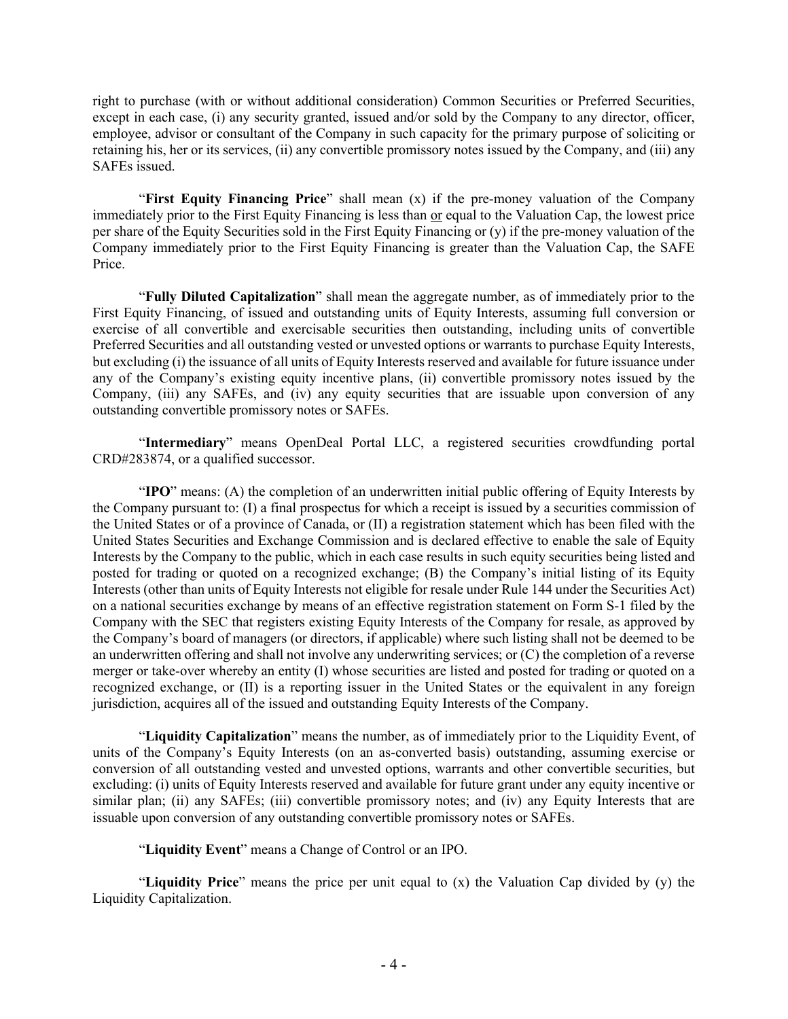right to purchase (with or without additional consideration) Common Securities or Preferred Securities, except in each case, (i) any security granted, issued and/or sold by the Company to any director, officer, employee, advisor or consultant of the Company in such capacity for the primary purpose of soliciting or retaining his, her or its services, (ii) any convertible promissory notes issued by the Company, and (iii) any SAFEs issued.

"**First Equity Financing Price**" shall mean (x) if the pre-money valuation of the Company immediately prior to the First Equity Financing is less than or equal to the Valuation Cap, the lowest price per share of the Equity Securities sold in the First Equity Financing or (y) if the pre-money valuation of the Company immediately prior to the First Equity Financing is greater than the Valuation Cap, the SAFE Price.

"**Fully Diluted Capitalization**" shall mean the aggregate number, as of immediately prior to the First Equity Financing, of issued and outstanding units of Equity Interests, assuming full conversion or exercise of all convertible and exercisable securities then outstanding, including units of convertible Preferred Securities and all outstanding vested or unvested options or warrants to purchase Equity Interests, but excluding (i) the issuance of all units of Equity Interests reserved and available for future issuance under any of the Company's existing equity incentive plans, (ii) convertible promissory notes issued by the Company, (iii) any SAFEs, and (iv) any equity securities that are issuable upon conversion of any outstanding convertible promissory notes or SAFEs.

"**Intermediary**" means OpenDeal Portal LLC, a registered securities crowdfunding portal CRD#283874, or a qualified successor.

"**IPO**" means: (A) the completion of an underwritten initial public offering of Equity Interests by the Company pursuant to: (I) a final prospectus for which a receipt is issued by a securities commission of the United States or of a province of Canada, or (II) a registration statement which has been filed with the United States Securities and Exchange Commission and is declared effective to enable the sale of Equity Interests by the Company to the public, which in each case results in such equity securities being listed and posted for trading or quoted on a recognized exchange; (B) the Company's initial listing of its Equity Interests (other than units of Equity Interests not eligible for resale under Rule 144 under the Securities Act) on a national securities exchange by means of an effective registration statement on Form S-1 filed by the Company with the SEC that registers existing Equity Interests of the Company for resale, as approved by the Company's board of managers (or directors, if applicable) where such listing shall not be deemed to be an underwritten offering and shall not involve any underwriting services; or (C) the completion of a reverse merger or take-over whereby an entity (I) whose securities are listed and posted for trading or quoted on a recognized exchange, or (II) is a reporting issuer in the United States or the equivalent in any foreign jurisdiction, acquires all of the issued and outstanding Equity Interests of the Company.

"**Liquidity Capitalization**" means the number, as of immediately prior to the Liquidity Event, of units of the Company's Equity Interests (on an as-converted basis) outstanding, assuming exercise or conversion of all outstanding vested and unvested options, warrants and other convertible securities, but excluding: (i) units of Equity Interests reserved and available for future grant under any equity incentive or similar plan; (ii) any SAFEs; (iii) convertible promissory notes; and (iv) any Equity Interests that are issuable upon conversion of any outstanding convertible promissory notes or SAFEs.

"**Liquidity Event**" means a Change of Control or an IPO.

"**Liquidity Price**" means the price per unit equal to (x) the Valuation Cap divided by (y) the Liquidity Capitalization.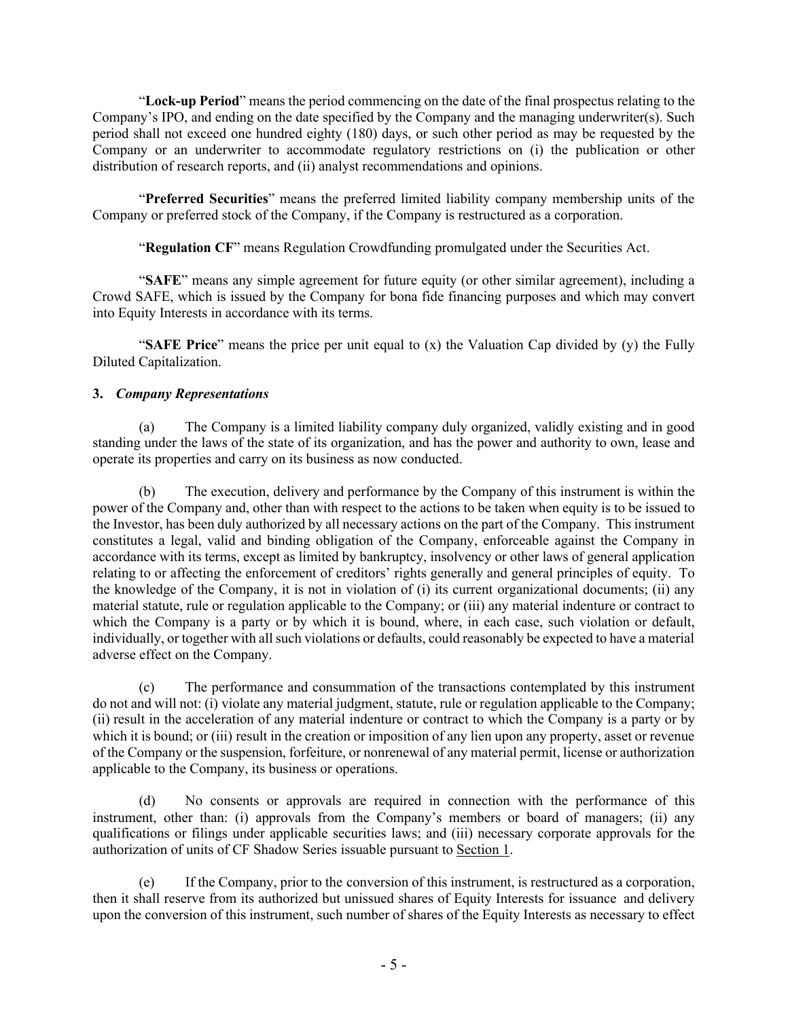"**Lock-up Period**" means the period commencing on the date of the final prospectus relating to the Company's IPO, and ending on the date specified by the Company and the managing underwriter(s). Such period shall not exceed one hundred eighty (180) days, or such other period as may be requested by the Company or an underwriter to accommodate regulatory restrictions on (i) the publication or other distribution of research reports, and (ii) analyst recommendations and opinions.

"**Preferred Securities**" means the preferred limited liability company membership units of the Company or preferred stock of the Company, if the Company is restructured as a corporation.

"**Regulation CF**" means Regulation Crowdfunding promulgated under the Securities Act.

"**SAFE**" means any simple agreement for future equity (or other similar agreement), including a Crowd SAFE, which is issued by the Company for bona fide financing purposes and which may convert into Equity Interests in accordance with its terms.

"**SAFE Price**" means the price per unit equal to (x) the Valuation Cap divided by (y) the Fully Diluted Capitalization.

# **3.** *Company Representations*

(a) The Company is a limited liability company duly organized, validly existing and in good standing under the laws of the state of its organization, and has the power and authority to own, lease and operate its properties and carry on its business as now conducted.

(b) The execution, delivery and performance by the Company of this instrument is within the power of the Company and, other than with respect to the actions to be taken when equity is to be issued to the Investor, has been duly authorized by all necessary actions on the part of the Company. This instrument constitutes a legal, valid and binding obligation of the Company, enforceable against the Company in accordance with its terms, except as limited by bankruptcy, insolvency or other laws of general application relating to or affecting the enforcement of creditors' rights generally and general principles of equity. To the knowledge of the Company, it is not in violation of (i) its current organizational documents; (ii) any material statute, rule or regulation applicable to the Company; or (iii) any material indenture or contract to which the Company is a party or by which it is bound, where, in each case, such violation or default, individually, or together with all such violations or defaults, could reasonably be expected to have a material adverse effect on the Company.

(c) The performance and consummation of the transactions contemplated by this instrument do not and will not: (i) violate any material judgment, statute, rule or regulation applicable to the Company; (ii) result in the acceleration of any material indenture or contract to which the Company is a party or by which it is bound; or (iii) result in the creation or imposition of any lien upon any property, asset or revenue of the Company or the suspension, forfeiture, or nonrenewal of any material permit, license or authorization applicable to the Company, its business or operations.

(d) No consents or approvals are required in connection with the performance of this instrument, other than: (i) approvals from the Company's members or board of managers; (ii) any qualifications or filings under applicable securities laws; and (iii) necessary corporate approvals for the authorization of units of CF Shadow Series issuable pursuant to Section 1.

(e) If the Company, prior to the conversion of this instrument, is restructured as a corporation, then it shall reserve from its authorized but unissued shares of Equity Interests for issuance and delivery upon the conversion of this instrument, such number of shares of the Equity Interests as necessary to effect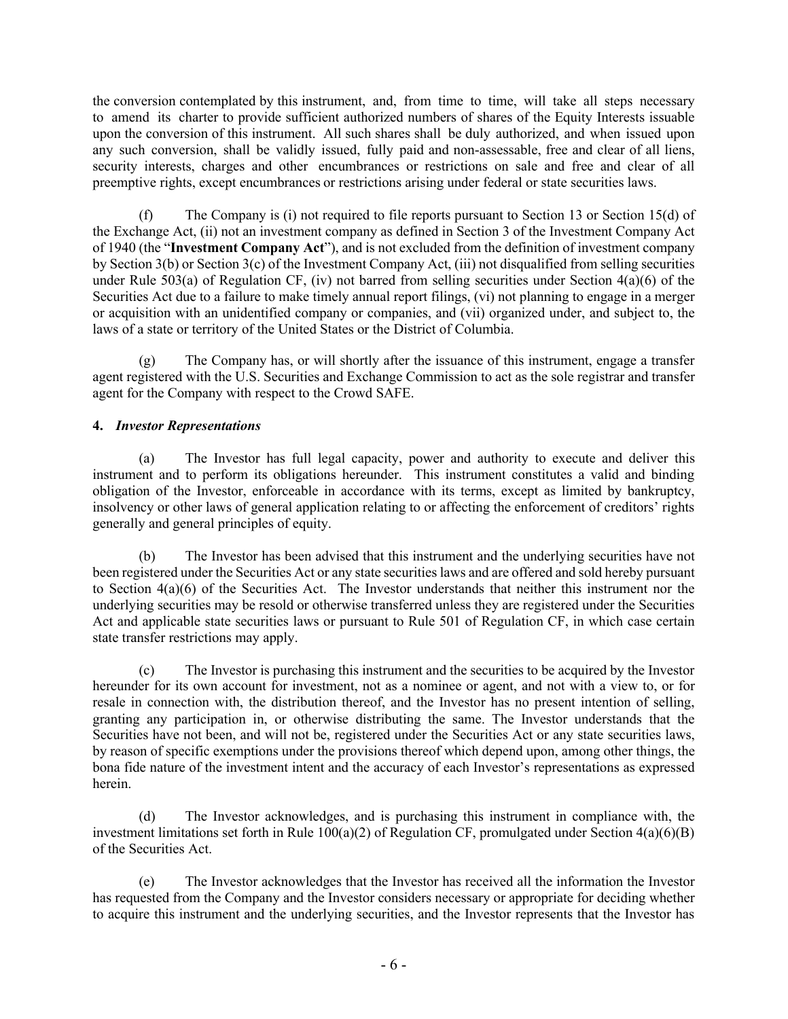the conversion contemplated by this instrument, and, from time to time, will take all steps necessary to amend its charter to provide sufficient authorized numbers of shares of the Equity Interests issuable upon the conversion of this instrument. All such shares shall be duly authorized, and when issued upon any such conversion, shall be validly issued, fully paid and non-assessable, free and clear of all liens, security interests, charges and other encumbrances or restrictions on sale and free and clear of all preemptive rights, except encumbrances or restrictions arising under federal or state securities laws.

(f) The Company is (i) not required to file reports pursuant to Section 13 or Section 15(d) of the Exchange Act, (ii) not an investment company as defined in Section 3 of the Investment Company Act of 1940 (the "**Investment Company Act**"), and is not excluded from the definition of investment company by Section 3(b) or Section 3(c) of the Investment Company Act, (iii) not disqualified from selling securities under Rule 503(a) of Regulation CF, (iv) not barred from selling securities under Section  $4(a)(6)$  of the Securities Act due to a failure to make timely annual report filings, (vi) not planning to engage in a merger or acquisition with an unidentified company or companies, and (vii) organized under, and subject to, the laws of a state or territory of the United States or the District of Columbia.

(g) The Company has, or will shortly after the issuance of this instrument, engage a transfer agent registered with the U.S. Securities and Exchange Commission to act as the sole registrar and transfer agent for the Company with respect to the Crowd SAFE.

# **4.** *Investor Representations*

(a) The Investor has full legal capacity, power and authority to execute and deliver this instrument and to perform its obligations hereunder. This instrument constitutes a valid and binding obligation of the Investor, enforceable in accordance with its terms, except as limited by bankruptcy, insolvency or other laws of general application relating to or affecting the enforcement of creditors' rights generally and general principles of equity.

(b) The Investor has been advised that this instrument and the underlying securities have not been registered under the Securities Act or any state securities laws and are offered and sold hereby pursuant to Section 4(a)(6) of the Securities Act. The Investor understands that neither this instrument nor the underlying securities may be resold or otherwise transferred unless they are registered under the Securities Act and applicable state securities laws or pursuant to Rule 501 of Regulation CF, in which case certain state transfer restrictions may apply.

(c) The Investor is purchasing this instrument and the securities to be acquired by the Investor hereunder for its own account for investment, not as a nominee or agent, and not with a view to, or for resale in connection with, the distribution thereof, and the Investor has no present intention of selling, granting any participation in, or otherwise distributing the same. The Investor understands that the Securities have not been, and will not be, registered under the Securities Act or any state securities laws, by reason of specific exemptions under the provisions thereof which depend upon, among other things, the bona fide nature of the investment intent and the accuracy of each Investor's representations as expressed herein.

(d) The Investor acknowledges, and is purchasing this instrument in compliance with, the investment limitations set forth in Rule  $100(a)(2)$  of Regulation CF, promulgated under Section  $4(a)(6)(B)$ of the Securities Act.

(e) The Investor acknowledges that the Investor has received all the information the Investor has requested from the Company and the Investor considers necessary or appropriate for deciding whether to acquire this instrument and the underlying securities, and the Investor represents that the Investor has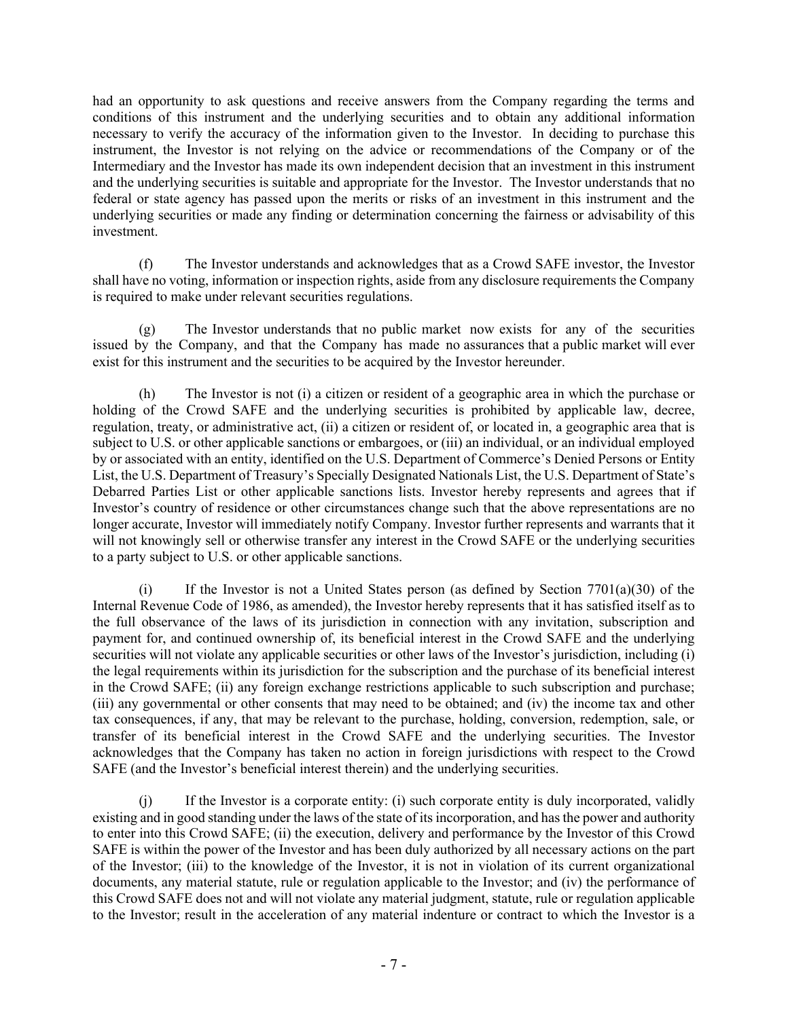had an opportunity to ask questions and receive answers from the Company regarding the terms and conditions of this instrument and the underlying securities and to obtain any additional information necessary to verify the accuracy of the information given to the Investor. In deciding to purchase this instrument, the Investor is not relying on the advice or recommendations of the Company or of the Intermediary and the Investor has made its own independent decision that an investment in this instrument and the underlying securities is suitable and appropriate for the Investor. The Investor understands that no federal or state agency has passed upon the merits or risks of an investment in this instrument and the underlying securities or made any finding or determination concerning the fairness or advisability of this investment.

(f) The Investor understands and acknowledges that as a Crowd SAFE investor, the Investor shall have no voting, information or inspection rights, aside from any disclosure requirements the Company is required to make under relevant securities regulations.

(g) The Investor understands that no public market now exists for any of the securities issued by the Company, and that the Company has made no assurances that a public market will ever exist for this instrument and the securities to be acquired by the Investor hereunder.

(h) The Investor is not (i) a citizen or resident of a geographic area in which the purchase or holding of the Crowd SAFE and the underlying securities is prohibited by applicable law, decree, regulation, treaty, or administrative act, (ii) a citizen or resident of, or located in, a geographic area that is subject to U.S. or other applicable sanctions or embargoes, or (iii) an individual, or an individual employed by or associated with an entity, identified on the U.S. Department of Commerce's Denied Persons or Entity List, the U.S. Department of Treasury's Specially Designated Nationals List, the U.S. Department of State's Debarred Parties List or other applicable sanctions lists. Investor hereby represents and agrees that if Investor's country of residence or other circumstances change such that the above representations are no longer accurate, Investor will immediately notify Company. Investor further represents and warrants that it will not knowingly sell or otherwise transfer any interest in the Crowd SAFE or the underlying securities to a party subject to U.S. or other applicable sanctions.

(i) If the Investor is not a United States person (as defined by Section  $7701(a)(30)$  of the Internal Revenue Code of 1986, as amended), the Investor hereby represents that it has satisfied itself as to the full observance of the laws of its jurisdiction in connection with any invitation, subscription and payment for, and continued ownership of, its beneficial interest in the Crowd SAFE and the underlying securities will not violate any applicable securities or other laws of the Investor's jurisdiction, including (i) the legal requirements within its jurisdiction for the subscription and the purchase of its beneficial interest in the Crowd SAFE; (ii) any foreign exchange restrictions applicable to such subscription and purchase; (iii) any governmental or other consents that may need to be obtained; and (iv) the income tax and other tax consequences, if any, that may be relevant to the purchase, holding, conversion, redemption, sale, or transfer of its beneficial interest in the Crowd SAFE and the underlying securities. The Investor acknowledges that the Company has taken no action in foreign jurisdictions with respect to the Crowd SAFE (and the Investor's beneficial interest therein) and the underlying securities.

(j) If the Investor is a corporate entity: (i) such corporate entity is duly incorporated, validly existing and in good standing under the laws of the state of its incorporation, and has the power and authority to enter into this Crowd SAFE; (ii) the execution, delivery and performance by the Investor of this Crowd SAFE is within the power of the Investor and has been duly authorized by all necessary actions on the part of the Investor; (iii) to the knowledge of the Investor, it is not in violation of its current organizational documents, any material statute, rule or regulation applicable to the Investor; and (iv) the performance of this Crowd SAFE does not and will not violate any material judgment, statute, rule or regulation applicable to the Investor; result in the acceleration of any material indenture or contract to which the Investor is a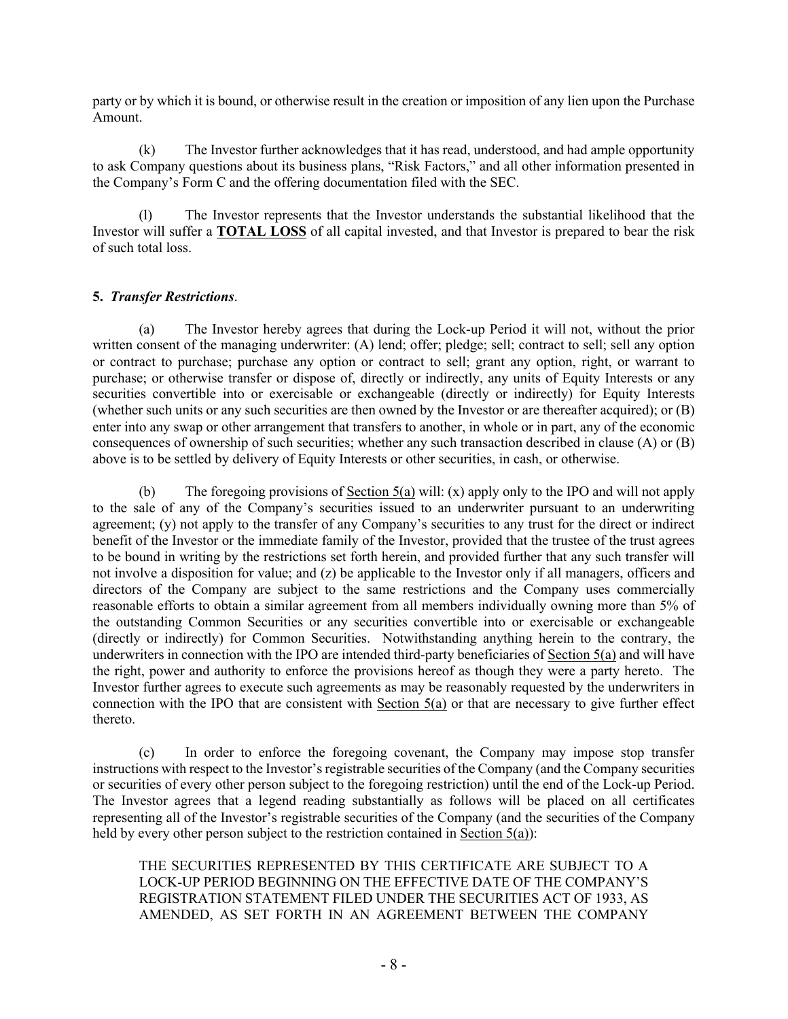party or by which it is bound, or otherwise result in the creation or imposition of any lien upon the Purchase Amount.

(k) The Investor further acknowledges that it has read, understood, and had ample opportunity to ask Company questions about its business plans, "Risk Factors," and all other information presented in the Company's Form C and the offering documentation filed with the SEC.

(l) The Investor represents that the Investor understands the substantial likelihood that the Investor will suffer a **TOTAL LOSS** of all capital invested, and that Investor is prepared to bear the risk of such total loss.

# **5.** *Transfer Restrictions*.

(a) The Investor hereby agrees that during the Lock-up Period it will not, without the prior written consent of the managing underwriter: (A) lend; offer; pledge; sell; contract to sell; sell any option or contract to purchase; purchase any option or contract to sell; grant any option, right, or warrant to purchase; or otherwise transfer or dispose of, directly or indirectly, any units of Equity Interests or any securities convertible into or exercisable or exchangeable (directly or indirectly) for Equity Interests (whether such units or any such securities are then owned by the Investor or are thereafter acquired); or (B) enter into any swap or other arrangement that transfers to another, in whole or in part, any of the economic consequences of ownership of such securities; whether any such transaction described in clause (A) or (B) above is to be settled by delivery of Equity Interests or other securities, in cash, or otherwise.

(b) The foregoing provisions of Section 5(a) will: (x) apply only to the IPO and will not apply to the sale of any of the Company's securities issued to an underwriter pursuant to an underwriting agreement; (y) not apply to the transfer of any Company's securities to any trust for the direct or indirect benefit of the Investor or the immediate family of the Investor, provided that the trustee of the trust agrees to be bound in writing by the restrictions set forth herein, and provided further that any such transfer will not involve a disposition for value; and (z) be applicable to the Investor only if all managers, officers and directors of the Company are subject to the same restrictions and the Company uses commercially reasonable efforts to obtain a similar agreement from all members individually owning more than 5% of the outstanding Common Securities or any securities convertible into or exercisable or exchangeable (directly or indirectly) for Common Securities. Notwithstanding anything herein to the contrary, the underwriters in connection with the IPO are intended third-party beneficiaries of Section 5(a) and will have the right, power and authority to enforce the provisions hereof as though they were a party hereto. The Investor further agrees to execute such agreements as may be reasonably requested by the underwriters in connection with the IPO that are consistent with Section 5(a) or that are necessary to give further effect thereto.

(c) In order to enforce the foregoing covenant, the Company may impose stop transfer instructions with respect to the Investor's registrable securities of the Company (and the Company securities or securities of every other person subject to the foregoing restriction) until the end of the Lock-up Period. The Investor agrees that a legend reading substantially as follows will be placed on all certificates representing all of the Investor's registrable securities of the Company (and the securities of the Company held by every other person subject to the restriction contained in Section 5(a)):

THE SECURITIES REPRESENTED BY THIS CERTIFICATE ARE SUBJECT TO A LOCK-UP PERIOD BEGINNING ON THE EFFECTIVE DATE OF THE COMPANY'S REGISTRATION STATEMENT FILED UNDER THE SECURITIES ACT OF 1933, AS AMENDED, AS SET FORTH IN AN AGREEMENT BETWEEN THE COMPANY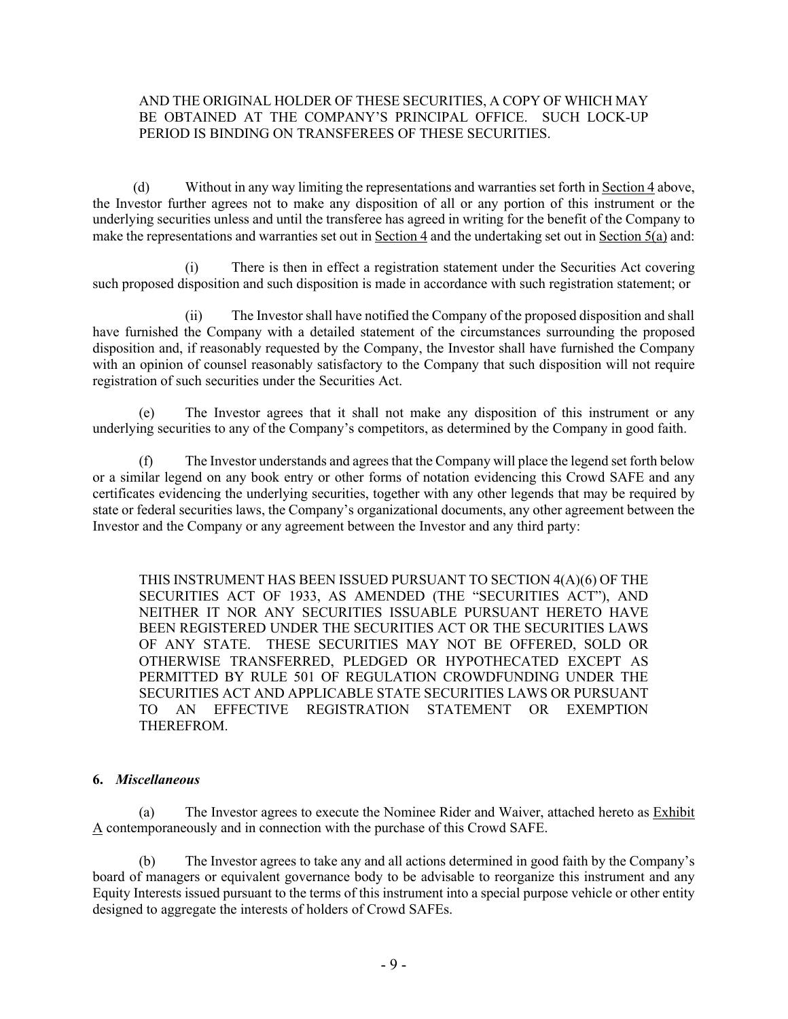#### AND THE ORIGINAL HOLDER OF THESE SECURITIES, A COPY OF WHICH MAY BE OBTAINED AT THE COMPANY'S PRINCIPAL OFFICE. SUCH LOCK-UP PERIOD IS BINDING ON TRANSFEREES OF THESE SECURITIES.

(d) Without in any way limiting the representations and warranties set forth in Section 4 above, the Investor further agrees not to make any disposition of all or any portion of this instrument or the underlying securities unless and until the transferee has agreed in writing for the benefit of the Company to make the representations and warranties set out in Section 4 and the undertaking set out in Section  $\overline{5(a)}$  and:

There is then in effect a registration statement under the Securities Act covering such proposed disposition and such disposition is made in accordance with such registration statement; or

(ii) The Investor shall have notified the Company of the proposed disposition and shall have furnished the Company with a detailed statement of the circumstances surrounding the proposed disposition and, if reasonably requested by the Company, the Investor shall have furnished the Company with an opinion of counsel reasonably satisfactory to the Company that such disposition will not require registration of such securities under the Securities Act.

(e) The Investor agrees that it shall not make any disposition of this instrument or any underlying securities to any of the Company's competitors, as determined by the Company in good faith.

(f) The Investor understands and agrees that the Company will place the legend set forth below or a similar legend on any book entry or other forms of notation evidencing this Crowd SAFE and any certificates evidencing the underlying securities, together with any other legends that may be required by state or federal securities laws, the Company's organizational documents, any other agreement between the Investor and the Company or any agreement between the Investor and any third party:

THIS INSTRUMENT HAS BEEN ISSUED PURSUANT TO SECTION 4(A)(6) OF THE SECURITIES ACT OF 1933, AS AMENDED (THE "SECURITIES ACT"), AND NEITHER IT NOR ANY SECURITIES ISSUABLE PURSUANT HERETO HAVE BEEN REGISTERED UNDER THE SECURITIES ACT OR THE SECURITIES LAWS OF ANY STATE. THESE SECURITIES MAY NOT BE OFFERED, SOLD OR OTHERWISE TRANSFERRED, PLEDGED OR HYPOTHECATED EXCEPT AS PERMITTED BY RULE 501 OF REGULATION CROWDFUNDING UNDER THE SECURITIES ACT AND APPLICABLE STATE SECURITIES LAWS OR PURSUANT TO AN EFFECTIVE REGISTRATION STATEMENT OR EXEMPTION THEREFROM.

# **6.** *Miscellaneous*

(a) The Investor agrees to execute the Nominee Rider and Waiver, attached hereto as Exhibit A contemporaneously and in connection with the purchase of this Crowd SAFE.

(b) The Investor agrees to take any and all actions determined in good faith by the Company's board of managers or equivalent governance body to be advisable to reorganize this instrument and any Equity Interests issued pursuant to the terms of this instrument into a special purpose vehicle or other entity designed to aggregate the interests of holders of Crowd SAFEs.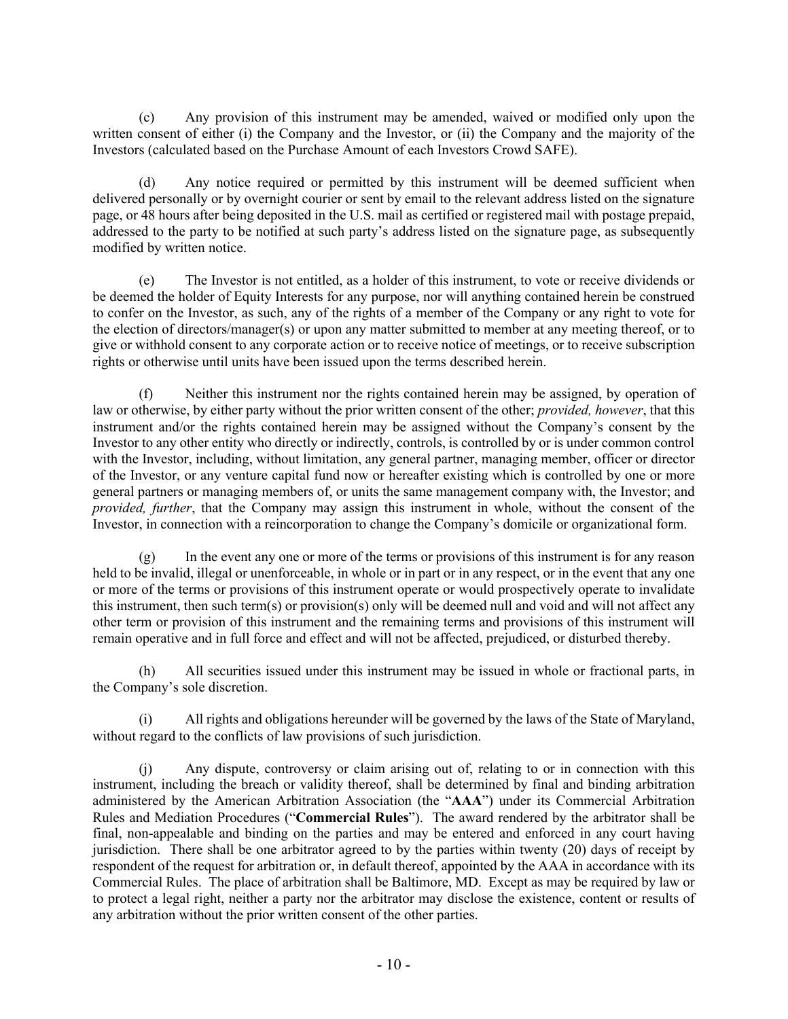(c) Any provision of this instrument may be amended, waived or modified only upon the written consent of either (i) the Company and the Investor, or (ii) the Company and the majority of the Investors (calculated based on the Purchase Amount of each Investors Crowd SAFE).

(d) Any notice required or permitted by this instrument will be deemed sufficient when delivered personally or by overnight courier or sent by email to the relevant address listed on the signature page, or 48 hours after being deposited in the U.S. mail as certified or registered mail with postage prepaid, addressed to the party to be notified at such party's address listed on the signature page, as subsequently modified by written notice.

(e) The Investor is not entitled, as a holder of this instrument, to vote or receive dividends or be deemed the holder of Equity Interests for any purpose, nor will anything contained herein be construed to confer on the Investor, as such, any of the rights of a member of the Company or any right to vote for the election of directors/manager(s) or upon any matter submitted to member at any meeting thereof, or to give or withhold consent to any corporate action or to receive notice of meetings, or to receive subscription rights or otherwise until units have been issued upon the terms described herein.

(f) Neither this instrument nor the rights contained herein may be assigned, by operation of law or otherwise, by either party without the prior written consent of the other; *provided, however*, that this instrument and/or the rights contained herein may be assigned without the Company's consent by the Investor to any other entity who directly or indirectly, controls, is controlled by or is under common control with the Investor, including, without limitation, any general partner, managing member, officer or director of the Investor, or any venture capital fund now or hereafter existing which is controlled by one or more general partners or managing members of, or units the same management company with, the Investor; and *provided, further*, that the Company may assign this instrument in whole, without the consent of the Investor, in connection with a reincorporation to change the Company's domicile or organizational form.

(g) In the event any one or more of the terms or provisions of this instrument is for any reason held to be invalid, illegal or unenforceable, in whole or in part or in any respect, or in the event that any one or more of the terms or provisions of this instrument operate or would prospectively operate to invalidate this instrument, then such term(s) or provision(s) only will be deemed null and void and will not affect any other term or provision of this instrument and the remaining terms and provisions of this instrument will remain operative and in full force and effect and will not be affected, prejudiced, or disturbed thereby.

(h) All securities issued under this instrument may be issued in whole or fractional parts, in the Company's sole discretion.

(i) All rights and obligations hereunder will be governed by the laws of the State of Maryland, without regard to the conflicts of law provisions of such jurisdiction.

(j) Any dispute, controversy or claim arising out of, relating to or in connection with this instrument, including the breach or validity thereof, shall be determined by final and binding arbitration administered by the American Arbitration Association (the "**AAA**") under its Commercial Arbitration Rules and Mediation Procedures ("**Commercial Rules**"). The award rendered by the arbitrator shall be final, non-appealable and binding on the parties and may be entered and enforced in any court having jurisdiction. There shall be one arbitrator agreed to by the parties within twenty (20) days of receipt by respondent of the request for arbitration or, in default thereof, appointed by the AAA in accordance with its Commercial Rules. The place of arbitration shall be Baltimore, MD. Except as may be required by law or to protect a legal right, neither a party nor the arbitrator may disclose the existence, content or results of any arbitration without the prior written consent of the other parties.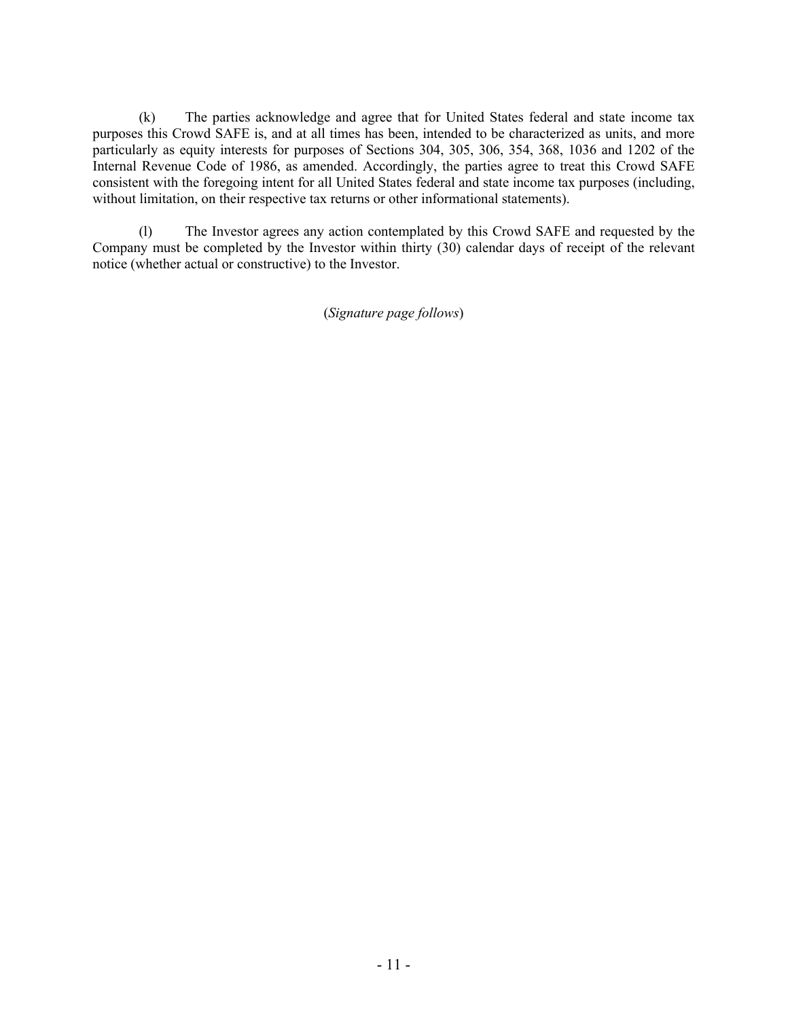(k) The parties acknowledge and agree that for United States federal and state income tax purposes this Crowd SAFE is, and at all times has been, intended to be characterized as units, and more particularly as equity interests for purposes of Sections 304, 305, 306, 354, 368, 1036 and 1202 of the Internal Revenue Code of 1986, as amended. Accordingly, the parties agree to treat this Crowd SAFE consistent with the foregoing intent for all United States federal and state income tax purposes (including, without limitation, on their respective tax returns or other informational statements).

(l) The Investor agrees any action contemplated by this Crowd SAFE and requested by the Company must be completed by the Investor within thirty (30) calendar days of receipt of the relevant notice (whether actual or constructive) to the Investor.

(*Signature page follows*)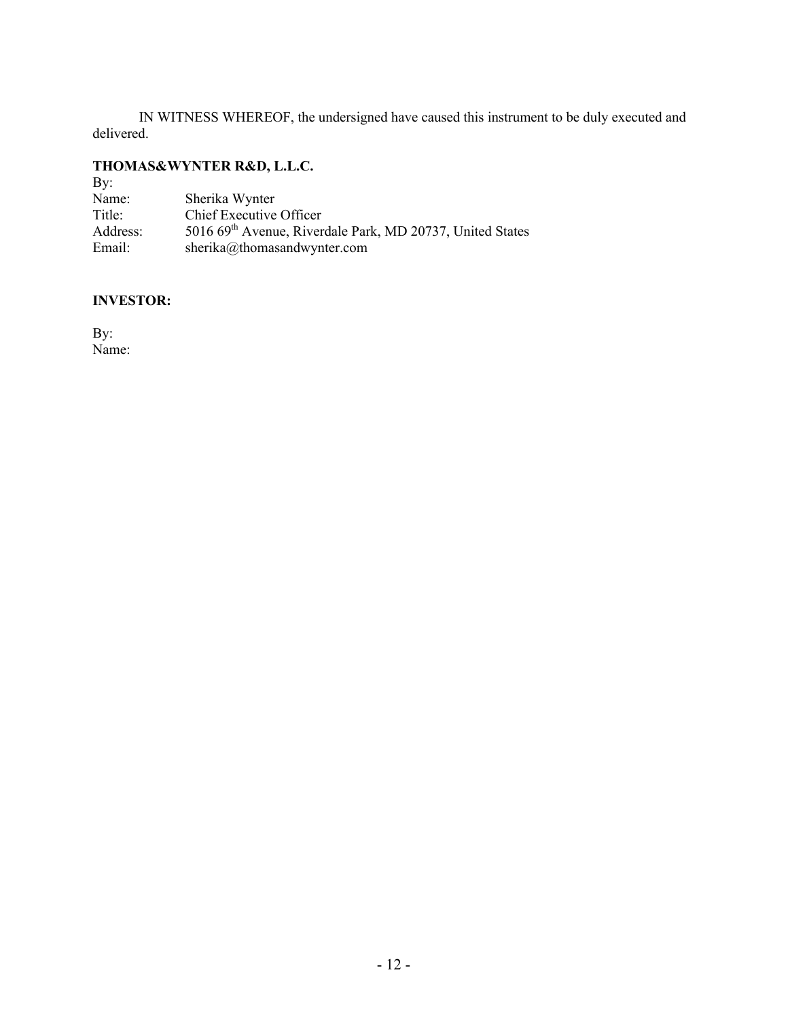IN WITNESS WHEREOF, the undersigned have caused this instrument to be duly executed and delivered.

# **THOMAS&WYNTER R&D, L.L.C.**

| $\rm\,By:$ |                                                                       |
|------------|-----------------------------------------------------------------------|
| Name:      | Sherika Wynter                                                        |
| Title:     | Chief Executive Officer                                               |
| Address:   | 5016 69 <sup>th</sup> Avenue, Riverdale Park, MD 20737, United States |
| Email:     | sherika@thomasandwynter.com                                           |

# **INVESTOR:**

By: Name: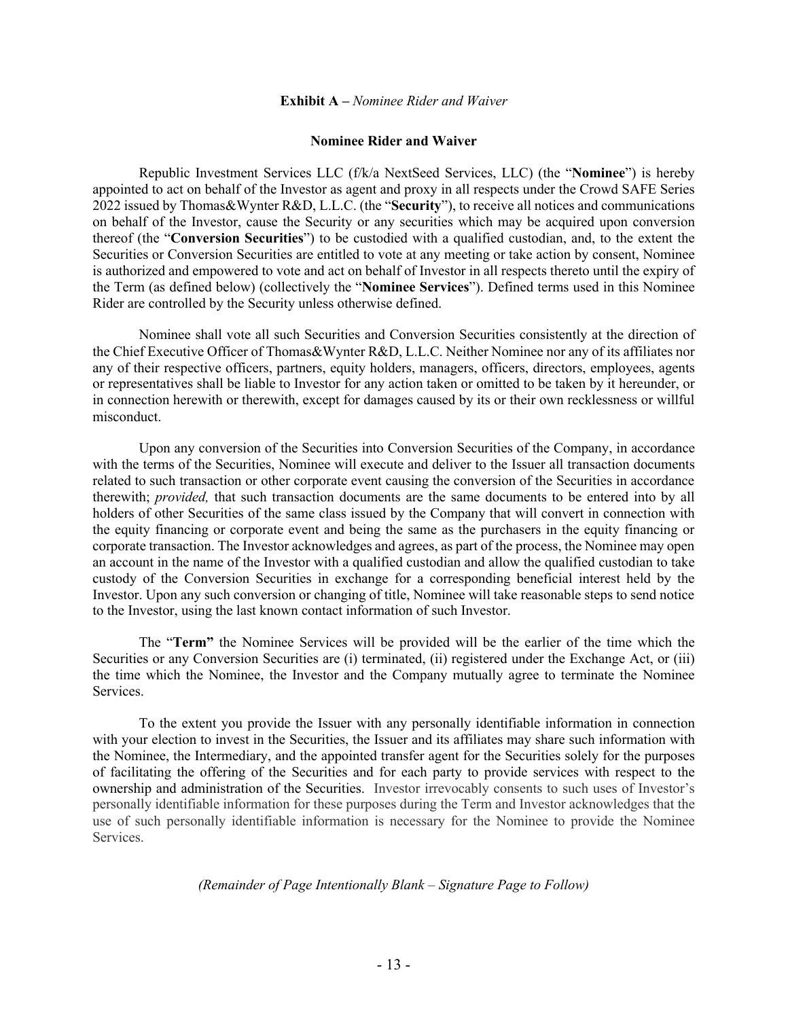#### **Exhibit A –** *Nominee Rider and Waiver*

#### **Nominee Rider and Waiver**

Republic Investment Services LLC (f/k/a NextSeed Services, LLC) (the "**Nominee**") is hereby appointed to act on behalf of the Investor as agent and proxy in all respects under the Crowd SAFE Series 2022 issued by Thomas&Wynter R&D, L.L.C. (the "**Security**"), to receive all notices and communications on behalf of the Investor, cause the Security or any securities which may be acquired upon conversion thereof (the "**Conversion Securities**") to be custodied with a qualified custodian, and, to the extent the Securities or Conversion Securities are entitled to vote at any meeting or take action by consent, Nominee is authorized and empowered to vote and act on behalf of Investor in all respects thereto until the expiry of the Term (as defined below) (collectively the "**Nominee Services**"). Defined terms used in this Nominee Rider are controlled by the Security unless otherwise defined.

Nominee shall vote all such Securities and Conversion Securities consistently at the direction of the Chief Executive Officer of Thomas&Wynter R&D, L.L.C. Neither Nominee nor any of its affiliates nor any of their respective officers, partners, equity holders, managers, officers, directors, employees, agents or representatives shall be liable to Investor for any action taken or omitted to be taken by it hereunder, or in connection herewith or therewith, except for damages caused by its or their own recklessness or willful misconduct.

Upon any conversion of the Securities into Conversion Securities of the Company, in accordance with the terms of the Securities, Nominee will execute and deliver to the Issuer all transaction documents related to such transaction or other corporate event causing the conversion of the Securities in accordance therewith; *provided,* that such transaction documents are the same documents to be entered into by all holders of other Securities of the same class issued by the Company that will convert in connection with the equity financing or corporate event and being the same as the purchasers in the equity financing or corporate transaction. The Investor acknowledges and agrees, as part of the process, the Nominee may open an account in the name of the Investor with a qualified custodian and allow the qualified custodian to take custody of the Conversion Securities in exchange for a corresponding beneficial interest held by the Investor. Upon any such conversion or changing of title, Nominee will take reasonable steps to send notice to the Investor, using the last known contact information of such Investor.

The "**Term"** the Nominee Services will be provided will be the earlier of the time which the Securities or any Conversion Securities are (i) terminated, (ii) registered under the Exchange Act, or (iii) the time which the Nominee, the Investor and the Company mutually agree to terminate the Nominee Services.

To the extent you provide the Issuer with any personally identifiable information in connection with your election to invest in the Securities, the Issuer and its affiliates may share such information with the Nominee, the Intermediary, and the appointed transfer agent for the Securities solely for the purposes of facilitating the offering of the Securities and for each party to provide services with respect to the ownership and administration of the Securities. Investor irrevocably consents to such uses of Investor's personally identifiable information for these purposes during the Term and Investor acknowledges that the use of such personally identifiable information is necessary for the Nominee to provide the Nominee Services.

#### *(Remainder of Page Intentionally Blank – Signature Page to Follow)*